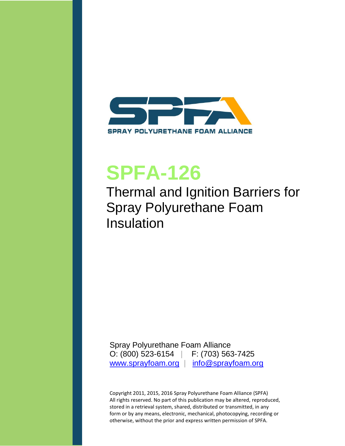<span id="page-0-0"></span>

# **SPFA-126**

# Thermal and Ignition Barriers for Spray Polyurethane Foam Insulation

Spray Polyurethane Foam Alliance O: (800) 523-6154 | F: (703) 563-7425 [www.sprayfoam.org](http://www.sprayfoam.org/) | [info@sprayfoam.org](mailto:info@sprayfoam.org)

Copyright 2011, 2015, 2016 Spray Polyurethane Foam Alliance (SPFA) All rights reserved. No part of this publication may be altered, reproduced, stored in a retrieval system, shared, distributed or transmitted, in any form or by any means, electronic, mechanical, photocopying, recording or otherwise, without the prior and express written permission of SPFA.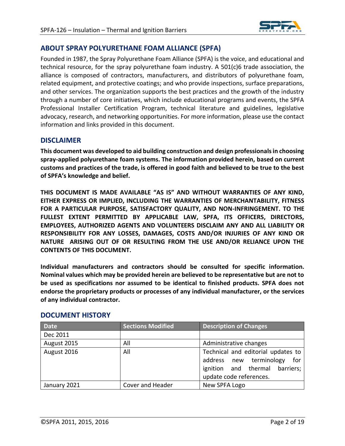

## **ABOUT SPRAY POLYURETHANE FOAM ALLIANCE (SPFA)**

Founded in 1987, the Spray Polyurethane Foam Alliance (SPFA) is the voice, and educational and technical resource, for the spray polyurethane foam industry. A 501(c)6 trade association, the alliance is composed of contractors, manufacturers, and distributors of polyurethane foam, related equipment, and protective coatings; and who provide inspections, surface preparations, and other services. The organization supports the best practices and the growth of the industry through a number of core initiatives, which include educational programs and events, the SPFA Professional Installer Certification Program, technical literature and guidelines, legislative advocacy, research, and networking opportunities. For more information, please use the contact information and links provided in this document.

#### **DISCLAIMER**

**This document was developed to aid building construction and design professionals in choosing spray-applied polyurethane foam systems. The information provided herein, based on current customs and practices of the trade, is offered in good faith and believed to be true to the best of SPFA's knowledge and belief.**

**THIS DOCUMENT IS MADE AVAILABLE "AS IS" AND WITHOUT WARRANTIES OF ANY KIND, EITHER EXPRESS OR IMPLIED, INCLUDING THE WARRANTIES OF MERCHANTABILITY, FITNESS FOR A PARTICULAR PURPOSE, SATISFACTORY QUALITY, AND NON-INFRINGEMENT. TO THE FULLEST EXTENT PERMITTED BY APPLICABLE LAW, SPFA, ITS OFFICERS, DIRECTORS, EMPLOYEES, AUTHORIZED AGENTS AND VOLUNTEERS DISCLAIM ANY AND ALL LIABILITY OR RESPONSIBILITY FOR ANY LOSSES, DAMAGES, COSTS AND/OR INJURIES OF ANY KIND OR NATURE ARISING OUT OF OR RESULTING FROM THE USE AND/OR RELIANCE UPON THE CONTENTS OF THIS DOCUMENT.**

**Individual manufacturers and contractors should be consulted for specific information. Nominal values which may be provided herein are believed to be representative but are not to be used as specifications nor assumed to be identical to finished products. SPFA does not endorse the proprietary products or processes of any individual manufacturer, or the services of any individual contractor.**

| <b>Date</b>  | <b>Sections Modified</b> | <b>Description of Changes</b>                                                                                                     |  |  |
|--------------|--------------------------|-----------------------------------------------------------------------------------------------------------------------------------|--|--|
| Dec 2011     |                          |                                                                                                                                   |  |  |
| August 2015  | All                      | Administrative changes                                                                                                            |  |  |
| August 2016  | All                      | Technical and editorial updates to<br>address new terminology<br>for<br>ignition and thermal barriers;<br>update code references. |  |  |
| January 2021 | Cover and Header         | New SPFA Logo                                                                                                                     |  |  |

#### **DOCUMENT HISTORY**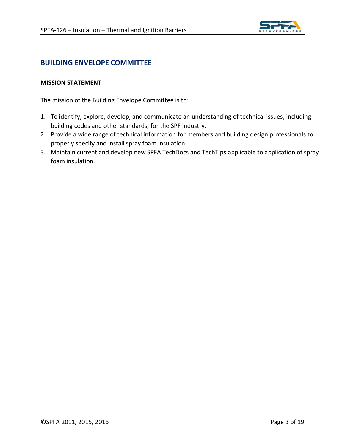

## **BUILDING ENVELOPE COMMITTEE**

#### **MISSION STATEMENT**

The mission of the Building Envelope Committee is to:

- 1. To identify, explore, develop, and communicate an understanding of technical issues, including building codes and other standards, for the SPF industry.
- 2. Provide a wide range of technical information for members and building design professionals to properly specify and install spray foam insulation.
- 3. Maintain current and develop new SPFA TechDocs and TechTips applicable to application of spray foam insulation.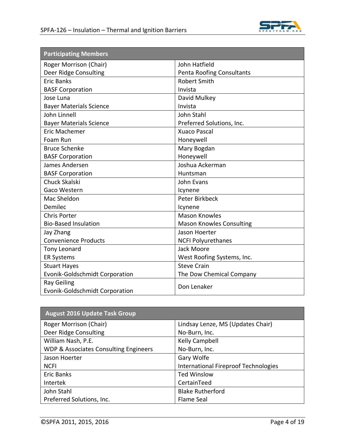

| <b>Participating Members</b>                         |                                  |  |  |
|------------------------------------------------------|----------------------------------|--|--|
| Roger Morrison (Chair)                               | John Hatfield                    |  |  |
| Deer Ridge Consulting                                | <b>Penta Roofing Consultants</b> |  |  |
| <b>Eric Banks</b>                                    | Robert Smith                     |  |  |
| <b>BASF Corporation</b>                              | Invista                          |  |  |
| Jose Luna                                            | David Mulkey                     |  |  |
| <b>Bayer Materials Science</b>                       | Invista                          |  |  |
| John Linnell                                         | John Stahl                       |  |  |
| <b>Bayer Materials Science</b>                       | Preferred Solutions, Inc.        |  |  |
| <b>Eric Machemer</b>                                 | <b>Xuaco Pascal</b>              |  |  |
| Foam Run                                             | Honeywell                        |  |  |
| <b>Bruce Schenke</b>                                 | Mary Bogdan                      |  |  |
| <b>BASF Corporation</b>                              | Honeywell                        |  |  |
| James Andersen                                       | Joshua Ackerman                  |  |  |
| <b>BASF Corporation</b>                              | Huntsman                         |  |  |
| <b>Chuck Skalski</b>                                 | <b>John Evans</b>                |  |  |
| Gaco Western                                         | Icynene                          |  |  |
| Mac Sheldon                                          | Peter Birkbeck                   |  |  |
| Demilec                                              | Icynene                          |  |  |
| <b>Chris Porter</b>                                  | <b>Mason Knowles</b>             |  |  |
| <b>Bio-Based Insulation</b>                          | <b>Mason Knowles Consulting</b>  |  |  |
| Jay Zhang                                            | Jason Hoerter                    |  |  |
| <b>Convenience Products</b>                          | <b>NCFI Polyurethanes</b>        |  |  |
| Tony Leonard                                         | Jack Moore                       |  |  |
| <b>ER Systems</b>                                    | West Roofing Systems, Inc.       |  |  |
| <b>Stuart Hayes</b>                                  | <b>Steve Crain</b>               |  |  |
| Evonik-Goldschmidt Corporation                       | The Dow Chemical Company         |  |  |
| <b>Ray Geiling</b><br>Evonik-Goldschmidt Corporation | Don Lenaker                      |  |  |

| <b>August 2016 Update Task Group</b>  |                                      |  |  |  |
|---------------------------------------|--------------------------------------|--|--|--|
| Roger Morrison (Chair)                | Lindsay Lenze, MS (Updates Chair)    |  |  |  |
| Deer Ridge Consulting                 | No-Burn, Inc.                        |  |  |  |
| William Nash, P.E.                    | Kelly Campbell                       |  |  |  |
| WDP & Associates Consulting Engineers | No-Burn, Inc.                        |  |  |  |
| Jason Hoerter                         | Gary Wolfe                           |  |  |  |
| <b>NCFI</b>                           | International Fireproof Technologies |  |  |  |
| Eric Banks                            | <b>Ted Winslow</b>                   |  |  |  |
| Intertek                              | CertainTeed                          |  |  |  |
| John Stahl                            | <b>Blake Rutherford</b>              |  |  |  |
| Preferred Solutions, Inc.             | Flame Seal                           |  |  |  |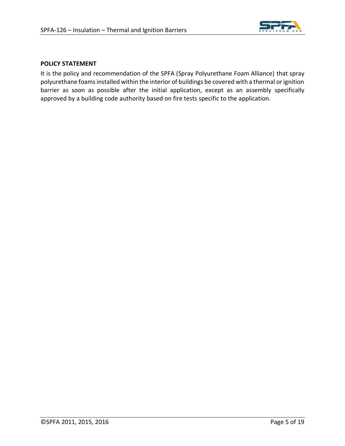

#### <span id="page-4-0"></span>**POLICY STATEMENT**

It is the policy and recommendation of the SPFA (Spray Polyurethane Foam Alliance) that spray polyurethane foams installed within the interior of buildings be covered with a thermal or ignition barrier as soon as possible after the initial application, except as an assembly specifically approved by a building code authority based on fire tests specific to the application.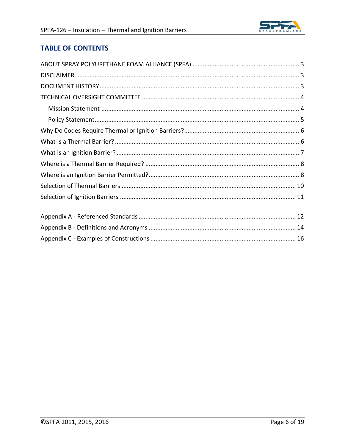# **TABLE OF CONTENTS**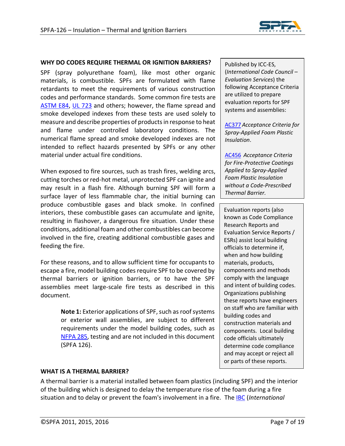

#### **WHY DO CODES REQUIRE THERMAL OR IGNITION BARRIERS?**

<span id="page-6-0"></span>SPF (spray polyurethane foam), like most other organic materials, is combustible. SPFs are formulated with flame retardants to meet the requirements of various construction codes and performance standards. Some common fire tests are [ASTM E84,](#page-13-0) UL [723](#page-13-1) and others; however, the flame spread and smoke developed indexes from these tests are used solely to measure and describe properties of products in response to heat and flame under controlled laboratory conditions. The numerical flame spread and smoke developed indexes are not intended to reflect hazards presented by SPFs or any other material under actual fire conditions.

When exposed to fire sources, such as trash fires, welding arcs, cutting torches or red-hot metal, unprotected SPF can ignite and may result in a flash fire. Although burning SPF will form a surface layer of less flammable char, the initial burning can produce combustible gases and black smoke. In confined interiors, these combustible gases can accumulate and ignite, resulting in flashover, a dangerous fire situation. Under these conditions, additional foam and other combustibles can become involved in the fire, creating additional combustible gases and feeding the fire.

For these reasons, and to allow sufficient time for occupants to escape a fire, model building codes require SPF to be covered by thermal barriers or ignition barriers, or to have the SPF assemblies meet large-scale fire tests as described in this document.

> **Note 1:** Exterior applications of SPF, such as roof systems or exterior wall assemblies, are subject to different requirements under the model building codes, such as [NFPA 285,](#page-13-2) testing and are not included in this document (SPFA 126).

Published by ICC-ES, (*International Code Council – Evaluation Services*) the following Acceptance Criteria are utilized to prepare evaluation reports for SPF systems and assemblies:

[AC377](#page-13-4) *Acceptance Criteria for Spray-Applied Foam Plastic Insulation*.

[AC456](#page-13-5) *Acceptance Criteria for Fire-Protective Coatings Applied to Spray-Applied Foam Plastic Insulation without a Code-Prescribed Thermal Barrier.*

Evaluation reports (also known as Code Compliance Research Reports and Evaluation Service Reports / ESRs) assist local building officials to determine if, when and how building materials, products, components and methods comply with the language and intent of building codes. Organizations publishing these reports have engineers on staff who are familiar with building codes and construction materials and components. Local building code officials ultimately determine code compliance and may accept or reject all or parts of these reports.

#### <span id="page-6-1"></span>**WHAT IS A THERMAL BARRIER?**

A thermal barrier is a material installed between foam plastics (including SPF) and the interior of the building which is designed to delay the temperature rise of the foam during a fire situation and to delay or prevent the foam's involvement in a fire. The [IBC](#page-13-3) (*International*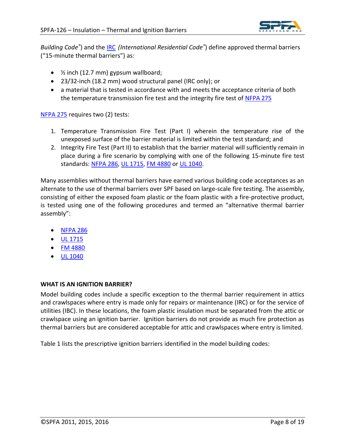

*Building Code®* ) and the [IRC](#page-13-6) *(International Residential Code®* ) define approved thermal barriers ("15-minute thermal barriers") as:

- ½ inch (12.7 mm) gypsum wallboard;
- 23/32-inch (18.2 mm) wood structural panel (IRC only); or
- a material that is tested in accordance with and meets the acceptance criteria of both the temperature transmission fire test and the integrity fire test o[f NFPA 275](#page-13-7)

[NFPA 275](#page-13-7) requires two (2) tests:

- 1. Temperature Transmission Fire Test (Part I) wherein the temperature rise of the unexposed surface of the barrier material is limited within the test standard; and
- 2. Integrity Fire Test (Part II) to establish that the barrier material will sufficiently remain in place during a fire scenario by complying with one of the following 15-minute fire test standards: [NFPA 286,](#page-13-8) [UL 1715,](#page-13-9) [FM 4880](#page-13-10) or [UL 1040.](#page-13-11)

Many assemblies without thermal barriers have earned various building code acceptances as an alternate to the use of thermal barriers over SPF based on large-scale fire testing. The assembly, consisting of either the exposed foam plastic or the foam plastic with a fire-protective product, is tested using one of the following procedures and termed an "alternative thermal barrier assembly":

- [NFPA 286](#page-13-8)
- [UL 1715](#page-13-9)
- [FM 4880](#page-13-10)
- [UL 1040](#page-13-11)

#### <span id="page-7-0"></span>**WHAT IS AN IGNITION BARRIER?**

Model building codes include a specific exception to the thermal barrier requirement in attics and crawlspaces where entry is made only for repairs or maintenance (IRC) or for the service of utilities (IBC). In these locations, the foam plastic insulation must be separated from the attic or crawlspace using an ignition barrier. Ignition barriers do not provide as much fire protection as thermal barriers but are considered acceptable for attic and crawlspaces where entry is limited.

Table 1 lists the prescriptive ignition barriers identified in the model building codes: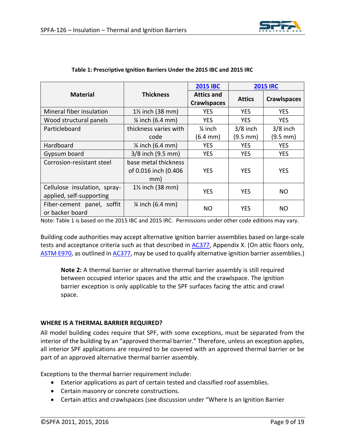

|                                                          | <b>Thickness</b>                                    | <b>2015 IBC</b>                         | <b>2015 IRC</b>      |                    |
|----------------------------------------------------------|-----------------------------------------------------|-----------------------------------------|----------------------|--------------------|
| <b>Material</b>                                          |                                                     | <b>Attics and</b><br><b>Crawlspaces</b> | <b>Attics</b>        | <b>Crawlspaces</b> |
| Mineral fiber insulation                                 | $1\frac{1}{2}$ inch (38 mm)                         | <b>YES</b>                              | <b>YES</b>           | <b>YES</b>         |
| Wood structural panels                                   | $\frac{1}{4}$ inch (6.4 mm)                         | <b>YES</b>                              | <b>YES</b>           | <b>YES</b>         |
| Particleboard                                            | thickness varies with                               | $\frac{1}{4}$ inch                      | $3/8$ inch           | $3/8$ inch         |
|                                                          | code                                                | $(6.4 \, \text{mm})$                    | $(9.5 \, \text{mm})$ | (9.5 mm)           |
| Hardboard                                                | $\frac{1}{4}$ inch (6.4 mm)                         | <b>YES</b>                              | <b>YES</b>           | <b>YES</b>         |
| Gypsum board                                             | 3/8 inch (9.5 mm)                                   | <b>YES</b>                              | <b>YES</b>           | <b>YES</b>         |
| Corrosion-resistant steel                                | base metal thickness<br>of 0.016 inch (0.406<br>mm) | <b>YES</b>                              | <b>YES</b>           | <b>YES</b>         |
| Cellulose insulation, spray-<br>applied, self-supporting | $1\frac{1}{2}$ inch (38 mm)                         | <b>YES</b>                              | <b>YES</b>           | NO.                |
| Fiber-cement panel, soffit<br>or backer board            | $\frac{1}{4}$ inch (6.4 mm)                         | <b>NO</b>                               | <b>YES</b>           | <b>NO</b>          |

#### **Table 1: Prescriptive Ignition Barriers Under the 2015 IBC and 2015 IRC**

Note: Table 1 is based on the 2015 IBC and 2015 IRC. Permissions under other code editions may vary.

Building code authorities may accept alternative ignition barrier assemblies based on large-scale tests and acceptance criteria such as that described in [AC377,](#page-13-4) Appendix X. (On attic floors only, [ASTM E970,](#page-13-12) as outlined in [AC377,](#page-13-4) may be used to qualify alternative ignition barrier assemblies.)

**Note 2:** A thermal barrier or alternative thermal barrier assembly is still required between occupied interior spaces and the attic and the crawlspace. The ignition barrier exception is only applicable to the SPF surfaces facing the attic and crawl space.

#### <span id="page-8-0"></span>**WHERE IS A THERMAL BARRIER REQUIRED?**

All model building codes require that SPF, with some exceptions, must be separated from the interior of the building by an "approved thermal barrier." Therefore, unless an exception applies, all interior SPF applications are required to be covered with an approved thermal barrier or be part of an approved alternative thermal barrier assembly.

Exceptions to the thermal barrier requirement include:

- Exterior applications as part of certain tested and classified roof assemblies.
- Certain masonry or concrete constructions.
- Certain attics and crawlspaces (see discussion under "Where Is an Ignition Barrier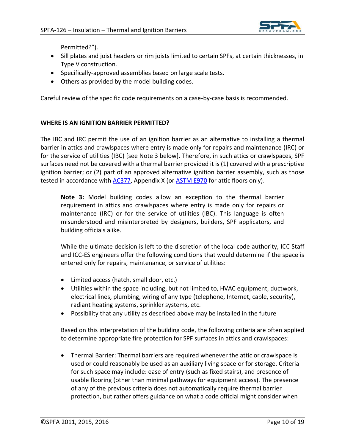

Permitted?").

- Sill plates and joist headers or rim joists limited to certain SPFs, at certain thicknesses, in Type V construction.
- Specifically-approved assemblies based on large scale tests.
- Others as provided by the model building codes.

Careful review of the specific code requirements on a case-by-case basis is recommended.

#### <span id="page-9-0"></span>**WHERE IS AN IGNITION BARRIER PERMITTED?**

The IBC and IRC permit the use of an ignition barrier as an alternative to installing a thermal barrier in attics and crawlspaces where entry is made only for repairs and maintenance (IRC) or for the service of utilities (IBC) [see Note 3 below]. Therefore, in such attics or crawlspaces, SPF surfaces need not be covered with a thermal barrier provided it is (1) covered with a prescriptive ignition barrier; or (2) part of an approved alternative ignition barrier assembly, such as those tested in accordance with [AC377,](#page-13-4) Appendix X (or [ASTM E970](#page-13-12) for attic floors only).

**Note 3:** Model building codes allow an exception to the thermal barrier requirement in attics and crawlspaces where entry is made only for repairs or maintenance (IRC) or for the service of utilities (IBC). This language is often misunderstood and misinterpreted by designers, builders, SPF applicators, and building officials alike.

While the ultimate decision is left to the discretion of the local code authority, ICC Staff and ICC-ES engineers offer the following conditions that would determine if the space is entered only for repairs, maintenance, or service of utilities:

- Limited access (hatch, small door, etc.)
- Utilities within the space including, but not limited to, HVAC equipment, ductwork, electrical lines, plumbing, wiring of any type (telephone, Internet, cable, security), radiant heating systems, sprinkler systems, etc.
- Possibility that any utility as described above may be installed in the future

Based on this interpretation of the building code, the following criteria are often applied to determine appropriate fire protection for SPF surfaces in attics and crawlspaces:

• Thermal Barrier: Thermal barriers are required whenever the attic or crawlspace is used or could reasonably be used as an auxiliary living space or for storage. Criteria for such space may include: ease of entry (such as fixed stairs), and presence of usable flooring (other than minimal pathways for equipment access). The presence of any of the previous criteria does not automatically require thermal barrier protection, but rather offers guidance on what a code official might consider when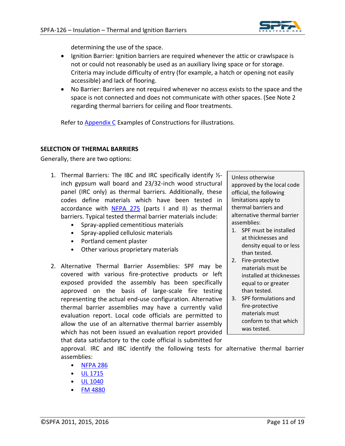

determining the use of the space.

- Ignition Barrier: Ignition barriers are required whenever the attic or crawlspace is not or could not reasonably be used as an auxiliary living space or for storage. Criteria may include difficulty of entry (for example, a hatch or opening not easily accessible) and lack of flooring.
- No Barrier: Barriers are not required whenever no access exists to the space and the space is not connected and does not communicate with other spaces. (See Note 2 regarding thermal barriers for ceiling and floor treatments.

Refer to [Appendix C](#page-15-0) Examples of Constructions for illustrations.

#### <span id="page-10-0"></span>**SELECTION OF THERMAL BARRIERS**

Generally, there are two options:

- 1. Thermal Barriers: The IBC and IRC specifically identify ½ inch gypsum wall board and 23/32-inch wood structural panel (IRC only) as thermal barriers. Additionally, these codes define materials which have been tested in accordance with [NFPA 275](#page-13-7) (parts I and II) as thermal barriers. Typical tested thermal barrier materials include:
	- Spray-applied cementitious materials
	- Spray-applied cellulosic materials
	- Portland cement plaster
	- Other various proprietary materials
- 2. Alternative Thermal Barrier Assemblies: SPF may be covered with various fire-protective products or left exposed provided the assembly has been specifically approved on the basis of large-scale fire testing representing the actual end-use configuration. Alternative thermal barrier assemblies may have a currently valid evaluation report. Local code officials are permitted to allow the use of an alternative thermal barrier assembly which has not been issued an evaluation report provided that data satisfactory to the code official is submitted for

Unless otherwise approved by the local code official, the following limitations apply to thermal barriers and alternative thermal barrier assemblies:

- 1. SPF must be installed at thicknesses and density equal to or less than tested.
- 2. Fire-protective materials must be installed at thicknesses equal to or greater than tested.
- 3. SPF formulations and fire-protective materials must conform to that which was tested.

approval. IRC and IBC identify the following tests for alternative thermal barrier assemblies:

- [NFPA 286](#page-13-8)
- $\bullet$  UL  $1715$
- [UL 1040](#page-13-11)
- [FM 4880](#page-13-10)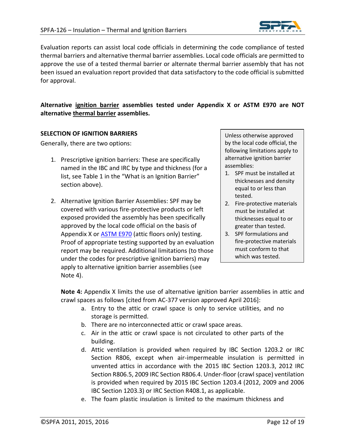

Evaluation reports can assist local code officials in determining the code compliance of tested thermal barriers and alternative thermal barrier assemblies. Local code officials are permitted to approve the use of a tested thermal barrier or alternate thermal barrier assembly that has not been issued an evaluation report provided that data satisfactory to the code official is submitted for approval.

#### **Alternative ignition barrier assemblies tested under Appendix X or ASTM E970 are NOT alternative thermal barrier assemblies.**

#### <span id="page-11-0"></span>**SELECTION OF IGNITION BARRIERS**

Generally, there are two options:

- 1. Prescriptive ignition barriers: These are specifically named in the IBC and IRC by type and thickness (for a list, see Table 1 in the "What is an Ignition Barrier" section above).
- 2. Alternative Ignition Barrier Assemblies: SPF may be covered with various fire-protective products or left exposed provided the assembly has been specifically approved by the local code official on the basis of Appendix X or [ASTM E970](#page-13-12) (attic floors only) testing. Proof of appropriate testing supported by an evaluation report may be required. Additional limitations (to those under the codes for prescriptive ignition barriers) may apply to alternative ignition barrier assemblies (see Note 4).

Unless otherwise approved by the local code official, the following limitations apply to alternative ignition barrier assemblies:

- 1. SPF must be installed at thicknesses and density equal to or less than tested.
- 2. Fire-protective materials must be installed at thicknesses equal to or greater than tested.
- 3. SPF formulations and fire-protective materials must conform to that which was tested.

**Note 4:** Appendix X limits the use of alternative ignition barrier assemblies in attic and crawl spaces as follows [cited from AC-377 version approved April 2016]:

- a. Entry to the attic or crawl space is only to service utilities, and no storage is permitted.
- b. There are no interconnected attic or crawl space areas.
- c. Air in the attic or crawl space is not circulated to other parts of the building.
- d. Attic ventilation is provided when required by IBC Section 1203.2 or IRC Section R806, except when air-impermeable insulation is permitted in unvented attics in accordance with the 2015 IBC Section 1203.3, 2012 IRC Section R806.5, 2009 IRC Section R806.4. Under-floor (crawl space) ventilation is provided when required by 2015 IBC Section 1203.4 (2012, 2009 and 2006 IBC Section 1203.3) or IRC Section R408.1, as applicable.
- e. The foam plastic insulation is limited to the maximum thickness and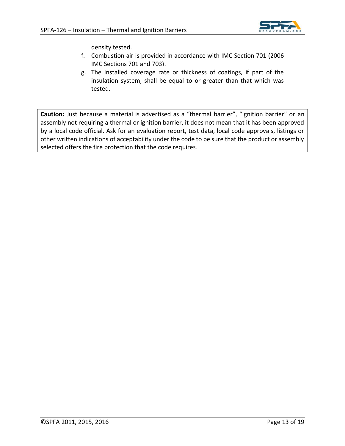

density tested.

- f. Combustion air is provided in accordance with IMC Section 701 (2006 IMC Sections 701 and 703).
- g. The installed coverage rate or thickness of coatings, if part of the insulation system, shall be equal to or greater than that which was tested.

<span id="page-12-0"></span>**Caution:** Just because a material is advertised as a "thermal barrier", "ignition barrier" or an assembly not requiring a thermal or ignition barrier, it does not mean that it has been approved by a local code official. Ask for an evaluation report, test data, local code approvals, listings or other written indications of acceptability under the code to be sure that the product or assembly selected offers the fire protection that the code requires.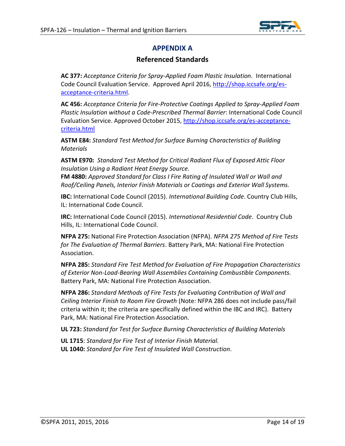

# **APPENDIX A**

# **Referenced Standards**

<span id="page-13-4"></span>**AC 377:** *Acceptance Criteria for Spray-Applied Foam Plastic Insulation.* International Code Council Evaluation Service. Approved April 2016, [http://shop.iccsafe.org/es](http://shop.iccsafe.org/es-acceptance-criteria.html)[acceptance-criteria.html.](http://shop.iccsafe.org/es-acceptance-criteria.html)

<span id="page-13-5"></span>**AC 456:** *Acceptance Criteria for Fire-Protective Coatings Applied to Spray-Applied Foam Plastic Insulation without a Code-Prescribed Thermal Barrier*: International Code Council Evaluation Service. Approved October 2015, [http://shop.iccsafe.org/es-acceptance](http://shop.iccsafe.org/es-acceptance-criteria.html)[criteria.html](http://shop.iccsafe.org/es-acceptance-criteria.html)

<span id="page-13-0"></span>**ASTM E84:** *Standard Test Method for Surface Burning Characteristics of Building Materials*

<span id="page-13-12"></span>**ASTM E970:** *Standard Test Method for Critical Radiant Flux of Exposed Attic Floor Insulation Using a Radiant Heat Energy Source.*

<span id="page-13-10"></span>**FM 4880:** *Approved Standard for Class I Fire Rating of Insulated Wall or Wall and Roof/Ceiling Panels, Interior Finish Materials or Coatings and Exterior Wall Systems.*

<span id="page-13-3"></span>**IBC:** International Code Council (2015). *International Building Code*. Country Club Hills, IL: International Code Council.

<span id="page-13-6"></span>**IRC:** International Code Council (2015). *International Residential Code*. Country Club Hills, IL: International Code Council.

<span id="page-13-7"></span>**NFPA 275:** National Fire Protection Association (NFPA). *NFPA 275 Method of Fire Tests for The Evaluation of Thermal Barriers*. Battery Park, MA: National Fire Protection Association.

<span id="page-13-2"></span>**NFPA 285:** *Standard Fire Test Method for Evaluation of Fire Propagation Characteristics of Exterior Non-Load-Bearing Wall Assemblies Containing Combustible Components.* Battery Park, MA: National Fire Protection Association.

<span id="page-13-8"></span>**NFPA 286:** *Standard Methods of Fire Tests for Evaluating Contribution of Wall and Ceiling Interior Finish to Room Fire Growth* (Note: NFPA 286 does not include pass/fail criteria within it; the criteria are specifically defined within the IBC and IRC). Battery Park, MA: National Fire Protection Association.

<span id="page-13-1"></span>**UL 723:** *Standard for Test for Surface Burning Characteristics of Building Materials*

<span id="page-13-11"></span><span id="page-13-9"></span>**UL 1715**: *Standard for Fire Test of Interior Finish Material.* **UL 1040:** *Standard for Fire Test of Insulated Wall Construction.*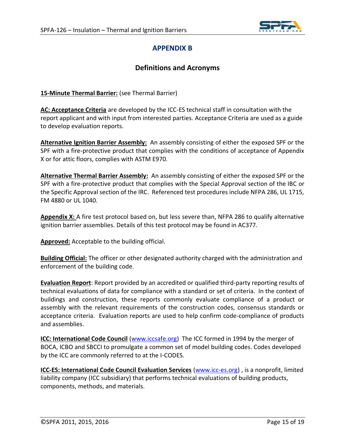

# **APPENDIX B**

# **Definitions and Acronyms**

<span id="page-14-0"></span>**15-Minute Thermal Barrier:** (see Thermal Barrier)

**AC: Acceptance Criteria** are developed by the ICC-ES technical staff in consultation with the report applicant and with input from interested parties. Acceptance Criteria are used as a guide to develop evaluation reports.

**Alternative Ignition Barrier Assembly:** An assembly consisting of either the exposed SPF or the SPF with a fire-protective product that complies with the conditions of acceptance of Appendix X or for attic floors, complies with ASTM E970.

**Alternative Thermal Barrier Assembly:** An assembly consisting of either the exposed SPF or the SPF with a fire-protective product that complies with the Special Approval section of the IBC or the Specific Approval section of the IRC. Referenced test procedures include NFPA 286, UL 1715, FM 4880 or UL 1040.

**Appendix X:** A fire test protocol based on, but less severe than, NFPA 286 to qualify alternative ignition barrier assemblies. Details of this test protocol may be found in AC377.

**Approved:** Acceptable to the building official.

**Building Official:** The officer or other designated authority charged with the administration and enforcement of the building code.

**Evaluation Report**: Report provided by an accredited or qualified third-party reporting results of technical evaluations of data for compliance with a standard or set of criteria. In the context of buildings and construction, these reports commonly evaluate compliance of a product or assembly with the relevant requirements of the construction codes, consensus standards or acceptance criteria. Evaluation reports are used to help confirm code-compliance of products and assemblies.

**ICC: International Code Council** [\(www.iccsafe.org\)](http://www.iccsafe.org/) The ICC formed in 1994 by the merger of BOCA, ICBO and SBCCI to promulgate a common set of model building codes. Codes developed by the ICC are commonly referred to at the I-CODES.

**ICC-ES: International Code Council Evaluation Services** [\(www.icc-es.org\)](http://www.icc-es.org/) , is a nonprofit, limited liability company (ICC subsidiary) that performs technical evaluations of building products, components, methods, and materials.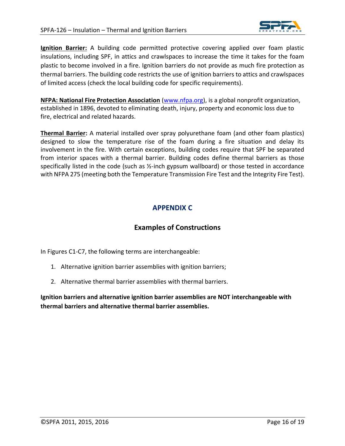

**Ignition Barrier:** A building code permitted protective covering applied over foam plastic insulations, including SPF, in attics and crawlspaces to increase the time it takes for the foam plastic to become involved in a fire. Ignition barriers do not provide as much fire protection as thermal barriers. The building code restricts the use of ignition barriers to attics and crawlspaces of limited access (check the local building code for specific requirements).

**NFPA: National Fire Protection Association** [\(www.nfpa.org\)](http://www.nfpa.org/), is a global nonprofit organization, established in 1896, devoted to eliminating death, injury, property and economic loss due to fire, electrical and related hazards.

**Thermal Barrier:** A material installed over spray polyurethane foam (and other foam plastics) designed to slow the temperature rise of the foam during a fire situation and delay its involvement in the fire. With certain exceptions, building codes require that SPF be separated from interior spaces with a thermal barrier. Building codes define thermal barriers as those specifically listed in the code (such as ½-inch gypsum wallboard) or those tested in accordance with NFPA 275 (meeting both the Temperature Transmission Fire Test and the Integrity Fire Test).

# **APPENDIX C**

# **Examples of Constructions**

<span id="page-15-0"></span>In Figures C1-C7, the following terms are interchangeable:

- 1. Alternative ignition barrier assemblies with ignition barriers;
- 2. Alternative thermal barrier assemblies with thermal barriers.

**Ignition barriers and alternative ignition barrier assemblies are NOT interchangeable with thermal barriers and alternative thermal barrier assemblies.**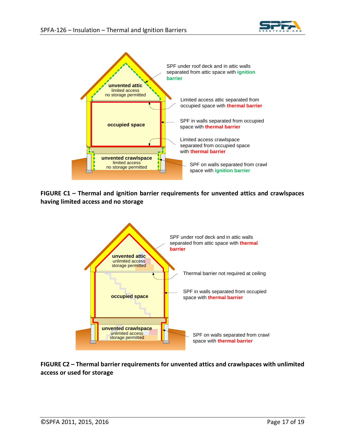



**FIGURE C1 – Thermal and ignition barrier requirements for unvented attics and crawlspaces having limited access and no storage**



**FIGURE C2 – Thermal barrier requirements for unvented attics and crawlspaces with unlimited access or used for storage**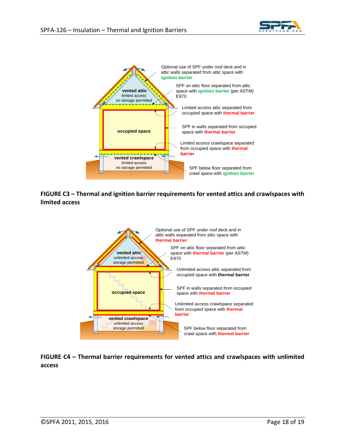



#### **FIGURE C3 – Thermal and ignition barrier requirements for vented attics and crawlspaces with limited access**



**FIGURE C4 – Thermal barrier requirements for vented attics and crawlspaces with unlimited access**